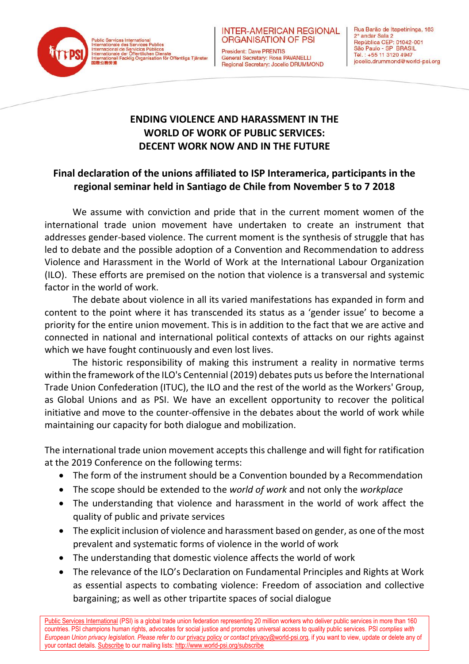Public Services International<br>Internationale des Services Publics<br>Internacional de Servicios Públicos<br>Internationale der Öffentlichen Dienste<br>Internationali Facklig Organisation för Offentliga Tjänster



**ORGANISATION OF PSI** President: Dave PRENTIS

**INTER-AMERICAN REGIONAL** 

General Secretary: Rosa PAVANELLI Regional Secretary: Jocelio DRUMMOND Rua Barão de Itapetininga, 163 2° andar Sala 2 República CEP: 01042-001<br>São Paulo - SP BRASIL Tel.: +55 11 3120 4947 jocelio.drummond@world-psi.org

## **ENDING VIOLENCE AND HARASSMENT IN THE WORLD OF WORK OF PUBLIC SERVICES: DECENT WORK NOW AND IN THE FUTURE**

## **Final declaration of the unions affiliated to ISP Interamerica, participants in the regional seminar held in Santiago de Chile from November 5 to 7 2018**

We assume with conviction and pride that in the current moment women of the international trade union movement have undertaken to create an instrument that addresses gender-based violence. The current moment is the synthesis of struggle that has led to debate and the possible adoption of a Convention and Recommendation to address Violence and Harassment in the World of Work at the International Labour Organization (ILO). These efforts are premised on the notion that violence is a transversal and systemic factor in the world of work.

The debate about violence in all its varied manifestations has expanded in form and content to the point where it has transcended its status as a 'gender issue' to become a priority for the entire union movement. This is in addition to the fact that we are active and connected in national and international political contexts of attacks on our rights against which we have fought continuously and even lost lives.

The historic responsibility of making this instrument a reality in normative terms within the framework of the ILO's Centennial (2019) debates puts us before the International Trade Union Confederation (ITUC), the ILO and the rest of the world as the Workers' Group, as Global Unions and as PSI. We have an excellent opportunity to recover the political initiative and move to the counter-offensive in the debates about the world of work while maintaining our capacity for both dialogue and mobilization.

The international trade union movement accepts this challenge and will fight for ratification at the 2019 Conference on the following terms:

- The form of the instrument should be a Convention bounded by a Recommendation
- The scope should be extended to the *world of work* and not only the *workplace*
- The understanding that violence and harassment in the world of work affect the quality of public and private services
- The explicit inclusion of violence and harassment based on gender, as one of the most prevalent and systematic forms of violence in the world of work
- The understanding that domestic violence affects the world of work
- The relevance of the ILO's Declaration on Fundamental Principles and Rights at Work as essential aspects to combating violence: Freedom of association and collective bargaining; as well as other tripartite spaces of social dialogue

[Public Services International](http://www.world-psi.org/) (PSI) is a global trade union federation representing 20 million workers who deliver public services in more than 160 countries. PSI champions human rights, advocates for social justice and promotes universal access to quality public services. PSI *complies with European Union privacy legislation. Please refer to our [privacy policy](http://www.world-psi.org/en/psi-data-privacy-policy) or contact privacy@world-psi.org*, if you want to view, update or delete any of your contact details[. Subscribe](http://www.world-psi.org/en/e-mail-news-subscriptions) to our mailing lists[: http://www.world-psi.org/subscribe](http://www.world-psi.org/subscribe)